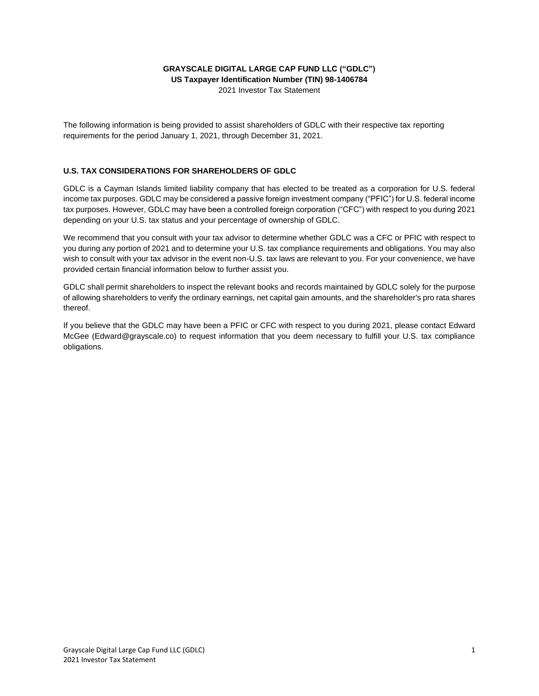## **GRAYSCALE DIGITAL LARGE CAP FUND LLC ("GDLC") US Taxpayer Identification Number (TIN) 98-1406784**

2021 Investor Tax Statement

The following information is being provided to assist shareholders of GDLC with their respective tax reporting requirements for the period January 1, 2021, through December 31, 2021.

## **U.S. TAX CONSIDERATIONS FOR SHAREHOLDERS OF GDLC**

GDLC is a Cayman Islands limited liability company that has elected to be treated as a corporation for U.S. federal income tax purposes. GDLC may be considered a passive foreign investment company ("PFIC") for U.S. federal income tax purposes. However, GDLC may have been a controlled foreign corporation ("CFC") with respect to you during 2021 depending on your U.S. tax status and your percentage of ownership of GDLC.

We recommend that you consult with your tax advisor to determine whether GDLC was a CFC or PFIC with respect to you during any portion of 2021 and to determine your U.S. tax compliance requirements and obligations. You may also wish to consult with your tax advisor in the event non-U.S. tax laws are relevant to you. For your convenience, we have provided certain financial information below to further assist you.

GDLC shall permit shareholders to inspect the relevant books and records maintained by GDLC solely for the purpose of allowing shareholders to verify the ordinary earnings, net capital gain amounts, and the shareholder's pro rata shares thereof.

If you believe that the GDLC may have been a PFIC or CFC with respect to you during 2021, please contact Edward McGee (Edward@grayscale.co) to request information that you deem necessary to fulfill your U.S. tax compliance obligations.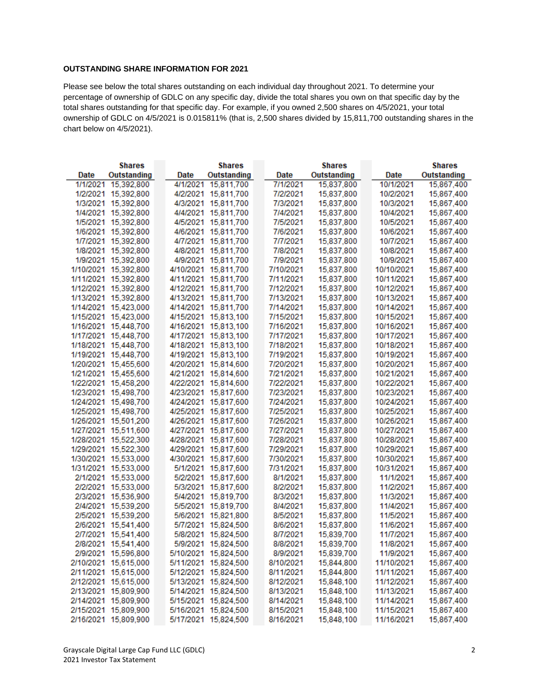## **OUTSTANDING SHARE INFORMATION FOR 2021**

Please see below the total shares outstanding on each individual day throughout 2021. To determine your percentage of ownership of GDLC on any specific day, divide the total shares you own on that specific day by the total shares outstanding for that specific day. For example, if you owned 2,500 shares on 4/5/2021, your total ownership of GDLC on 4/5/2021 is 0.015811% (that is, 2,500 shares divided by 15,811,700 outstanding shares in the chart below on 4/5/2021).

| <b>Shares</b>        |             | <b>Shares</b> |                      | <b>Shares</b> |           |             | <b>Shares</b> |            |             |
|----------------------|-------------|---------------|----------------------|---------------|-----------|-------------|---------------|------------|-------------|
| Date                 | Outstanding | Date          | <b>Outstanding</b>   |               | Date      | Outstanding |               | Date       | Outstanding |
| 1/1/2021             | 15,392,800  |               | 4/1/2021 15,811,700  |               | 7/1/2021  | 15,837,800  |               | 10/1/2021  | 15,867,400  |
| 1/2/2021 15,392,800  |             |               | 4/2/2021 15,811,700  |               | 7/2/2021  | 15,837,800  |               | 10/2/2021  | 15,867,400  |
| 1/3/2021 15,392,800  |             |               | 4/3/2021 15,811,700  |               | 7/3/2021  | 15,837,800  |               | 10/3/2021  | 15,867,400  |
| 1/4/2021 15,392,800  |             |               | 4/4/2021 15,811,700  |               | 7/4/2021  | 15,837,800  |               | 10/4/2021  | 15,867,400  |
| 1/5/2021 15,392,800  |             |               | 4/5/2021 15,811,700  |               | 7/5/2021  | 15,837,800  |               | 10/5/2021  | 15,867,400  |
| 1/6/2021 15,392,800  |             |               | 4/6/2021 15,811,700  |               | 7/6/2021  | 15,837,800  |               | 10/6/2021  | 15,867,400  |
| 1/7/2021 15,392,800  |             |               | 4/7/2021 15,811,700  |               | 7/7/2021  | 15,837,800  |               | 10/7/2021  | 15,867,400  |
| 1/8/2021 15,392,800  |             |               | 4/8/2021 15,811,700  |               | 7/8/2021  | 15,837,800  |               | 10/8/2021  | 15,867,400  |
| 1/9/2021 15,392,800  |             |               | 4/9/2021 15,811,700  |               | 7/9/2021  | 15,837,800  |               | 10/9/2021  | 15,867,400  |
| 1/10/2021 15,392,800 |             |               | 4/10/2021 15,811,700 |               | 7/10/2021 | 15,837,800  |               | 10/10/2021 | 15,867,400  |
| 1/11/2021 15,392,800 |             |               | 4/11/2021 15,811,700 |               | 7/11/2021 | 15,837,800  |               | 10/11/2021 | 15,867,400  |
| 1/12/2021 15,392,800 |             |               | 4/12/2021 15,811,700 |               | 7/12/2021 | 15,837,800  |               | 10/12/2021 | 15,867,400  |
| 1/13/2021 15,392,800 |             |               | 4/13/2021 15,811,700 |               | 7/13/2021 | 15,837,800  |               | 10/13/2021 | 15,867,400  |
| 1/14/2021 15,423,000 |             |               | 4/14/2021 15,811,700 |               | 7/14/2021 | 15,837,800  |               | 10/14/2021 | 15,867,400  |
| 1/15/2021 15,423,000 |             |               | 4/15/2021 15,813,100 |               | 7/15/2021 | 15,837,800  |               | 10/15/2021 | 15,867,400  |
| 1/16/2021 15,448,700 |             |               | 4/16/2021 15,813,100 |               | 7/16/2021 | 15,837,800  |               | 10/16/2021 | 15,867,400  |
| 1/17/2021 15,448,700 |             |               | 4/17/2021 15,813,100 |               | 7/17/2021 | 15,837,800  |               | 10/17/2021 | 15,867,400  |
| 1/18/2021 15,448,700 |             |               | 4/18/2021 15,813,100 |               | 7/18/2021 | 15,837,800  |               | 10/18/2021 | 15,867,400  |
| 1/19/2021 15,448,700 |             |               | 4/19/2021 15,813,100 |               | 7/19/2021 | 15,837,800  |               | 10/19/2021 | 15,867,400  |
| 1/20/2021 15,455,600 |             |               | 4/20/2021 15,814,600 |               | 7/20/2021 | 15,837,800  |               | 10/20/2021 | 15,867,400  |
| 1/21/2021 15,455,600 |             |               | 4/21/2021 15,814,600 |               | 7/21/2021 | 15,837,800  |               | 10/21/2021 | 15,867,400  |
| 1/22/2021 15,458,200 |             |               | 4/22/2021 15,814,600 |               | 7/22/2021 | 15,837,800  |               | 10/22/2021 | 15,867,400  |
| 1/23/2021 15,498,700 |             |               | 4/23/2021 15,817,600 |               | 7/23/2021 | 15,837,800  |               | 10/23/2021 | 15,867,400  |
| 1/24/2021 15,498,700 |             |               | 4/24/2021 15,817,600 |               | 7/24/2021 | 15,837,800  |               | 10/24/2021 | 15,867,400  |
| 1/25/2021 15,498,700 |             |               | 4/25/2021 15,817,600 |               | 7/25/2021 | 15,837,800  |               | 10/25/2021 | 15,867,400  |
| 1/26/2021 15,501,200 |             |               | 4/26/2021 15,817,600 |               | 7/26/2021 | 15,837,800  |               | 10/26/2021 | 15,867,400  |
| 1/27/2021 15,511,600 |             |               | 4/27/2021 15,817,600 |               | 7/27/2021 | 15,837,800  |               | 10/27/2021 | 15,867,400  |
| 1/28/2021 15,522,300 |             |               | 4/28/2021 15,817,600 |               | 7/28/2021 | 15,837,800  |               | 10/28/2021 | 15,867,400  |
| 1/29/2021 15,522,300 |             |               | 4/29/2021 15,817,600 |               | 7/29/2021 | 15,837,800  |               | 10/29/2021 | 15,867,400  |
| 1/30/2021 15,533,000 |             |               | 4/30/2021 15,817,600 |               | 7/30/2021 | 15,837,800  |               | 10/30/2021 | 15,867,400  |
| 1/31/2021 15,533,000 |             |               | 5/1/2021 15,817,600  |               | 7/31/2021 | 15,837,800  |               | 10/31/2021 | 15,867,400  |
| 2/1/2021 15,533,000  |             |               | 5/2/2021 15,817,600  |               | 8/1/2021  | 15,837,800  |               | 11/1/2021  | 15,867,400  |
| 2/2/2021 15,533,000  |             |               | 5/3/2021 15,817,600  |               | 8/2/2021  | 15,837,800  |               | 11/2/2021  | 15,867,400  |
| 2/3/2021 15,536,900  |             |               | 5/4/2021 15,819,700  |               | 8/3/2021  | 15,837,800  |               | 11/3/2021  | 15,867,400  |
| 2/4/2021 15,539,200  |             |               | 5/5/2021 15,819,700  |               | 8/4/2021  | 15,837,800  |               | 11/4/2021  | 15,867,400  |
| 2/5/2021 15.539.200  |             |               | 5/6/2021 15,821,800  |               | 8/5/2021  | 15,837,800  |               | 11/5/2021  | 15,867,400  |
| 2/6/2021 15,541,400  |             |               | 5/7/2021 15,824,500  |               | 8/6/2021  | 15,837,800  |               | 11/6/2021  | 15,867,400  |
| 2/7/2021 15,541,400  |             |               | 5/8/2021 15,824,500  |               | 8/7/2021  | 15,839,700  |               | 11/7/2021  | 15,867,400  |
| 2/8/2021 15,541,400  |             |               | 5/9/2021 15,824,500  |               | 8/8/2021  | 15,839,700  |               | 11/8/2021  | 15,867,400  |
| 2/9/2021 15,596,800  |             |               | 5/10/2021 15,824,500 |               | 8/9/2021  | 15,839,700  |               | 11/9/2021  | 15,867,400  |
| 2/10/2021 15,615,000 |             |               | 5/11/2021 15,824,500 |               | 8/10/2021 | 15,844,800  |               | 11/10/2021 | 15,867,400  |
| 2/11/2021 15,615,000 |             |               | 5/12/2021 15,824,500 |               | 8/11/2021 | 15,844,800  |               | 11/11/2021 | 15,867,400  |
| 2/12/2021 15,615,000 |             |               | 5/13/2021 15,824,500 |               | 8/12/2021 | 15,848,100  |               | 11/12/2021 | 15,867,400  |
| 2/13/2021 15,809,900 |             |               | 5/14/2021 15,824,500 |               | 8/13/2021 | 15,848,100  |               | 11/13/2021 | 15,867,400  |
| 2/14/2021 15,809,900 |             |               | 5/15/2021 15,824,500 |               | 8/14/2021 | 15,848,100  |               | 11/14/2021 | 15,867,400  |
| 2/15/2021 15,809,900 |             |               | 5/16/2021 15,824,500 |               | 8/15/2021 | 15,848,100  |               | 11/15/2021 | 15,867,400  |
| 2/16/2021 15,809,900 |             |               | 5/17/2021 15,824,500 |               | 8/16/2021 | 15,848,100  |               | 11/16/2021 | 15,867,400  |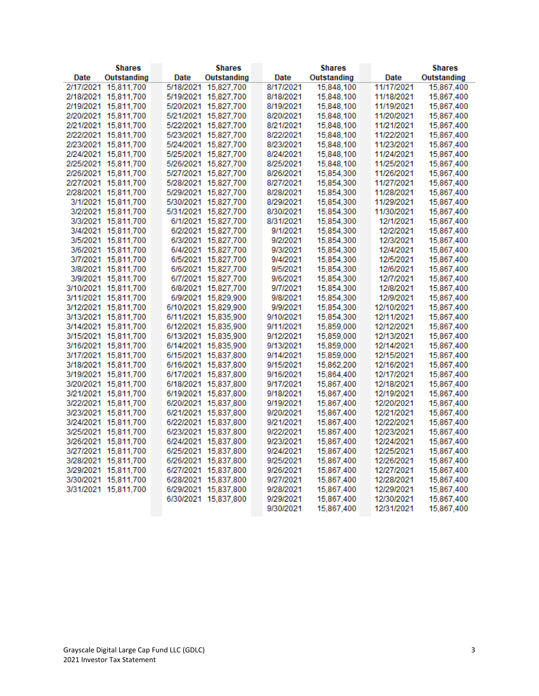| <b>Shares</b> |                      | <b>Shares</b> |                      | <b>Shares</b> |  |             | <b>Shares</b> |            |             |
|---------------|----------------------|---------------|----------------------|---------------|--|-------------|---------------|------------|-------------|
| Date          | Outstanding          | Date          | Outstanding          | Date          |  | Outstanding |               | Date       | Outstanding |
| 2/17/2021     | 15,811,700           | 5/18/2021     | 15,827,700           | 8/17/2021     |  | 15,848,100  |               | 11/17/2021 | 15,867,400  |
|               | 2/18/2021 15,811,700 |               | 5/19/2021 15,827,700 | 8/18/2021     |  | 15,848,100  |               | 11/18/2021 | 15,867,400  |
|               | 2/19/2021 15,811,700 |               | 5/20/2021 15,827,700 | 8/19/2021     |  | 15,848,100  |               | 11/19/2021 | 15,867,400  |
|               | 2/20/2021 15,811,700 |               | 5/21/2021 15,827,700 | 8/20/2021     |  | 15,848,100  |               | 11/20/2021 | 15,867,400  |
|               | 2/21/2021 15,811,700 |               | 5/22/2021 15,827,700 | 8/21/2021     |  | 15,848,100  |               | 11/21/2021 | 15,867,400  |
| 2/22/2021     | 15,811,700           |               | 5/23/2021 15,827,700 | 8/22/2021     |  | 15,848,100  |               | 11/22/2021 | 15,867,400  |
|               | 2/23/2021 15,811,700 |               | 5/24/2021 15,827,700 | 8/23/2021     |  | 15,848,100  |               | 11/23/2021 | 15,867,400  |
|               | 2/24/2021 15,811,700 |               | 5/25/2021 15,827,700 | 8/24/2021     |  | 15,848,100  |               | 11/24/2021 | 15,867,400  |
|               | 2/25/2021 15,811,700 |               | 5/26/2021 15,827,700 | 8/25/2021     |  | 15,848,100  |               | 11/25/2021 | 15,867,400  |
|               | 2/26/2021 15,811,700 |               | 5/27/2021 15,827,700 | 8/26/2021     |  | 15,854,300  |               | 11/26/2021 | 15,867,400  |
|               | 2/27/2021 15,811,700 |               | 5/28/2021 15,827,700 | 8/27/2021     |  | 15,854,300  |               | 11/27/2021 | 15,867,400  |
|               | 2/28/2021 15,811,700 |               | 5/29/2021 15,827,700 | 8/28/2021     |  | 15,854,300  |               | 11/28/2021 | 15,867,400  |
|               | 3/1/2021 15,811,700  |               | 5/30/2021 15,827,700 | 8/29/2021     |  | 15,854,300  |               | 11/29/2021 | 15,867,400  |
|               | 3/2/2021 15,811,700  |               | 5/31/2021 15,827,700 | 8/30/2021     |  | 15,854,300  |               | 11/30/2021 | 15,867,400  |
|               | 3/3/2021 15,811,700  |               | 6/1/2021 15,827,700  | 8/31/2021     |  | 15,854,300  |               | 12/1/2021  | 15,867,400  |
|               | 3/4/2021 15,811,700  |               | 6/2/2021 15,827,700  | 9/1/2021      |  | 15,854,300  |               | 12/2/2021  | 15,867,400  |
|               | 3/5/2021 15,811,700  |               | 6/3/2021 15,827,700  | 9/2/2021      |  | 15,854,300  |               | 12/3/2021  | 15,867,400  |
|               | 3/6/2021 15,811,700  |               | 6/4/2021 15,827,700  | 9/3/2021      |  | 15,854,300  |               | 12/4/2021  | 15,867,400  |
|               | 3/7/2021 15,811,700  |               | 6/5/2021 15,827,700  | 9/4/2021      |  | 15,854,300  |               | 12/5/2021  | 15,867,400  |
|               | 3/8/2021 15,811,700  |               | 6/6/2021 15,827,700  | 9/5/2021      |  | 15,854,300  |               | 12/6/2021  | 15,867,400  |
|               | 3/9/2021 15,811,700  |               | 6/7/2021 15,827,700  | 9/6/2021      |  | 15,854,300  |               | 12/7/2021  | 15,867,400  |
|               | 3/10/2021 15,811,700 |               | 6/8/2021 15,827,700  | 9/7/2021      |  | 15,854,300  |               | 12/8/2021  | 15,867,400  |
|               | 3/11/2021 15,811,700 |               | 6/9/2021 15,829,900  | 9/8/2021      |  | 15,854,300  |               | 12/9/2021  | 15,867,400  |
|               | 3/12/2021 15,811,700 |               | 6/10/2021 15,829,900 | 9/9/2021      |  | 15,854,300  |               | 12/10/2021 | 15,867,400  |
| 3/13/2021     | 15,811,700           |               | 6/11/2021 15,835,900 | 9/10/2021     |  | 15,854,300  |               | 12/11/2021 | 15,867,400  |
|               | 3/14/2021 15,811,700 |               | 6/12/2021 15,835,900 | 9/11/2021     |  | 15,859,000  |               | 12/12/2021 | 15,867,400  |
|               | 3/15/2021 15,811,700 |               | 6/13/2021 15,835,900 | 9/12/2021     |  | 15,859,000  |               | 12/13/2021 | 15,867,400  |
|               | 3/16/2021 15,811,700 |               | 6/14/2021 15,835,900 | 9/13/2021     |  | 15,859,000  |               | 12/14/2021 | 15,867,400  |
|               | 3/17/2021 15,811,700 |               | 6/15/2021 15,837,800 | 9/14/2021     |  | 15,859,000  |               | 12/15/2021 | 15,867,400  |
|               | 3/18/2021 15,811,700 |               | 6/16/2021 15,837,800 | 9/15/2021     |  | 15,862,200  |               | 12/16/2021 | 15,867,400  |
|               | 3/19/2021 15,811,700 |               | 6/17/2021 15,837,800 | 9/16/2021     |  | 15,864,400  |               | 12/17/2021 | 15,867,400  |
|               | 3/20/2021 15,811,700 |               | 6/18/2021 15.837.800 | 9/17/2021     |  | 15,867,400  |               | 12/18/2021 | 15,867,400  |
|               | 3/21/2021 15,811,700 |               | 6/19/2021 15.837.800 | 9/18/2021     |  | 15,867,400  |               | 12/19/2021 | 15,867,400  |
|               | 3/22/2021 15,811,700 |               | 6/20/2021 15,837,800 | 9/19/2021     |  | 15,867,400  |               | 12/20/2021 | 15,867,400  |
|               | 3/23/2021 15,811,700 |               | 6/21/2021 15,837,800 | 9/20/2021     |  | 15,867,400  |               | 12/21/2021 | 15,867,400  |
|               | 3/24/2021 15,811,700 |               | 6/22/2021 15,837,800 | 9/21/2021     |  | 15,867,400  |               | 12/22/2021 | 15,867,400  |
| 3/25/2021     | 15,811,700           |               | 6/23/2021 15,837,800 | 9/22/2021     |  | 15,867,400  |               | 12/23/2021 | 15,867,400  |
|               | 3/26/2021 15,811,700 |               | 6/24/2021 15,837,800 | 9/23/2021     |  | 15,867,400  |               | 12/24/2021 | 15,867,400  |
|               | 3/27/2021 15,811,700 |               | 6/25/2021 15,837,800 | 9/24/2021     |  | 15,867,400  |               | 12/25/2021 | 15,867,400  |
|               | 3/28/2021 15.811.700 |               | 6/26/2021 15.837.800 | 9/25/2021     |  | 15,867,400  |               | 12/26/2021 | 15,867,400  |
|               | 3/29/2021 15,811,700 |               | 6/27/2021 15,837,800 | 9/26/2021     |  | 15,867,400  |               | 12/27/2021 | 15,867,400  |
|               | 3/30/2021 15,811,700 |               | 6/28/2021 15,837,800 | 9/27/2021     |  | 15,867,400  |               | 12/28/2021 | 15,867,400  |
|               | 3/31/2021 15,811,700 |               | 6/29/2021 15,837,800 | 9/28/2021     |  | 15,867,400  |               | 12/29/2021 | 15,867,400  |
|               |                      |               | 6/30/2021 15,837,800 | 9/29/2021     |  | 15,867,400  |               | 12/30/2021 | 15,867,400  |
|               |                      |               |                      | 9/30/2021     |  | 15,867,400  |               | 12/31/2021 | 15,867,400  |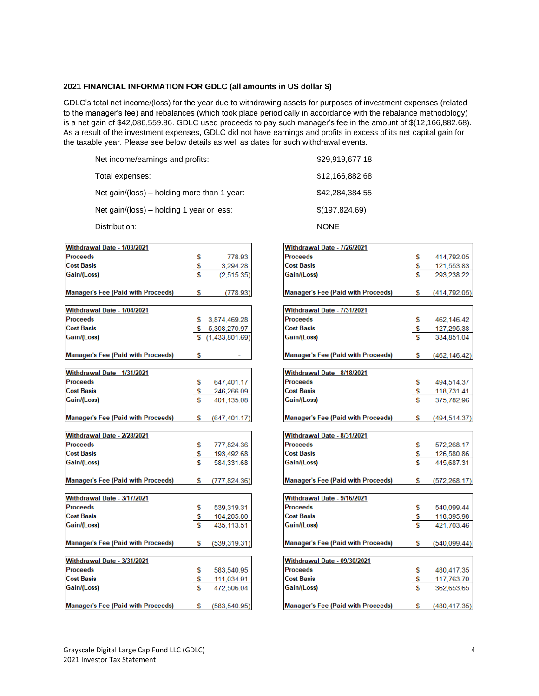## **2021 FINANCIAL INFORMATION FOR GDLC (all amounts in US dollar \$)**

GDLC's total net income/(loss) for the year due to withdrawing assets for purposes of investment expenses (related to the manager's fee) and rebalances (which took place periodically in accordance with the rebalance methodology) is a net gain of \$42,086,559.86. GDLC used proceeds to pay such manager's fee in the amount of \$(12,166,882.68). As a result of the investment expenses, GDLC did not have earnings and profits in excess of its net capital gain for the taxable year. Please see below details as well as dates for such withdrawal events.

| Net income/earnings and profits:            | \$29,919,677.18 |
|---------------------------------------------|-----------------|
| Total expenses:                             | \$12,166,882.68 |
| Net gain/(loss) – holding more than 1 year: | \$42,284,384.55 |
| Net gain/(loss) – holding 1 year or less:   | \$(197,824.69)  |

Distribution: NONE

| Withdrawal Date - 1/03/2021               |     |                 |
|-------------------------------------------|-----|-----------------|
| <b>Proceeds</b>                           | \$  | 778.93          |
| <b>Cost Basis</b>                         | \$  | 3,294.28        |
| Gain/(Loss)                               | Ś   | (2.515.35)      |
| <b>Manager's Fee (Paid with Proceeds)</b> | \$  | (778.93         |
| Withdrawal Date - 1/04/2021               |     |                 |
| <b>Proceeds</b>                           |     | \$ 3.874.469.28 |
| <b>Cost Basis</b>                         |     | \$ 5,308,270.97 |
| Gain/(Loss)                               |     | (1.433.801.69)  |
| <b>Manager's Fee (Paid with Proceeds)</b> | \$. |                 |
| Withdrawal Date - 1/31/2021               |     |                 |
| <b>Proceeds</b>                           | \$  | 647,401.17      |
| <b>Cost Basis</b>                         | \$  | 246,266.09      |
| Gain/(Loss)                               | \$  | 401.135.08      |
| <b>Manager's Fee (Paid with Proceeds)</b> | \$  | (647, 401.17)   |
| Withdrawal Date - 2/28/2021               |     |                 |
| <b>Proceeds</b>                           | \$. | 777,824.36      |
| <b>Cost Basis</b>                         | \$  | 193,492.68      |
| Gain/(Loss)                               |     | 584,331.68      |
| <b>Manager's Fee (Paid with Proceeds)</b> | \$  | (777, 824.36)   |
| Withdrawal Date - 3/17/2021               |     |                 |
| <b>Proceeds</b>                           | \$  | 539,319.31      |
| <b>Cost Basis</b>                         | \$  | 104,205.80      |
| Gain/(Loss)                               | Ś   | 435,113.51      |
| <b>Manager's Fee (Paid with Proceeds)</b> | \$  | (539, 319.31)   |
| Withdrawal Date - 3/31/2021               |     |                 |
| <b>Proceeds</b>                           | \$  | 583,540.95      |
| <b>Cost Basis</b>                         | \$  | 111,034.91      |
| Gain/(Loss)                               | \$  | 472.506.04      |
| <b>Manager's Fee (Paid with Proceeds)</b> | \$  | (583, 540.95)   |

| Withdrawal Date - 7/26/2021               |    |               |
|-------------------------------------------|----|---------------|
| <b>Proceeds</b>                           | \$ | 414,792.05    |
| <b>Cost Basis</b>                         | \$ | 121,553.83    |
| Gain/(Loss)                               | \$ | 293,238.22    |
|                                           |    |               |
| <b>Manager's Fee (Paid with Proceeds)</b> | \$ | (414,792.05)  |
|                                           |    |               |
| Withdrawal Date - 7/31/2021               |    |               |
| <b>Proceeds</b>                           | \$ | 462,146.42    |
| <b>Cost Basis</b>                         | \$ | 127,295.38    |
| Gain/(Loss)                               |    | 334,851.04    |
| <b>Manager's Fee (Paid with Proceeds)</b> | \$ | (462,146.42   |
|                                           |    |               |
| Withdrawal Date - 8/18/2021               |    |               |
| Proceeds                                  | \$ | 494,514.37    |
| <b>Cost Basis</b>                         | \$ | 118,731.41    |
| Gain/(Loss)                               |    | 375,782.96    |
|                                           |    |               |
| <b>Manager's Fee (Paid with Proceeds)</b> | \$ | (494,514.37   |
|                                           |    |               |
| Withdrawal Date - 8/31/2021               |    |               |
| <b>Proceeds</b>                           | \$ | 572,268.17    |
| <b>Cost Basis</b>                         | \$ | 126,580.86    |
| Gain/(Loss)                               | ፍ  | 445,687.31    |
|                                           |    |               |
| <b>Manager's Fee (Paid with Proceeds)</b> | \$ | (572, 268.17) |
| Withdrawal Date - 9/16/2021               |    |               |
| Proceeds                                  | \$ | 540,099.44    |
| <b>Cost Basis</b>                         | \$ | 118,395.98    |
| Gain/(Loss)                               |    | 421,703.46    |
|                                           |    |               |
| <b>Manager's Fee (Paid with Proceeds)</b> | S  | (540, 099.44) |
|                                           |    |               |
| Withdrawal Date - 09/30/2021              |    |               |
| Proceeds                                  | \$ | 480,417.35    |
| <b>Cost Basis</b>                         | \$ | 117,763.70    |
| Gain/(Loss)                               | Ś  | 362,653.65    |
|                                           |    |               |
| <b>Manager's Fee (Paid with Proceeds)</b> | \$ | (480, 417.35) |